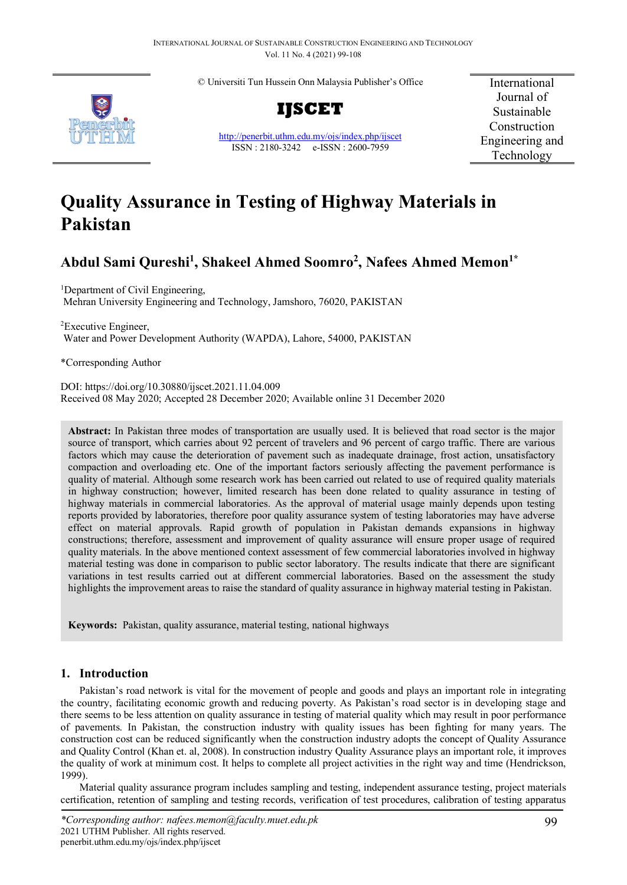© Universiti Tun Hussein Onn Malaysia Publisher's Office



**IJSCET**

<http://penerbit.uthm.edu.my/ojs/index.php/ijscet> ISSN : 2180-3242 e-ISSN : 2600-7959

International Journal of Sustainable Construction Engineering and Technology

# **Quality Assurance in Testing of Highway Materials in Pakistan**

# **Abdul Sami Qureshi1 , Shakeel Ahmed Soomro2 , Nafees Ahmed Memon1\***

<sup>1</sup>Department of Civil Engineering, Mehran University Engineering and Technology, Jamshoro, 76020, PAKISTAN

2 Executive Engineer, Water and Power Development Authority (WAPDA), Lahore, 54000, PAKISTAN

\*Corresponding Author

DOI: https://doi.org/10.30880/ijscet.2021.11.04.009 Received 08 May 2020; Accepted 28 December 2020; Available online 31 December 2020

**Abstract:** In Pakistan three modes of transportation are usually used. It is believed that road sector is the major source of transport, which carries about 92 percent of travelers and 96 percent of cargo traffic. There are various factors which may cause the deterioration of pavement such as inadequate drainage, frost action, unsatisfactory compaction and overloading etc. One of the important factors seriously affecting the pavement performance is quality of material. Although some research work has been carried out related to use of required quality materials in highway construction; however, limited research has been done related to quality assurance in testing of highway materials in commercial laboratories. As the approval of material usage mainly depends upon testing reports provided by laboratories, therefore poor quality assurance system of testing laboratories may have adverse effect on material approvals. Rapid growth of population in Pakistan demands expansions in highway constructions; therefore, assessment and improvement of quality assurance will ensure proper usage of required quality materials. In the above mentioned context assessment of few commercial laboratories involved in highway material testing was done in comparison to public sector laboratory. The results indicate that there are significant variations in test results carried out at different commercial laboratories. Based on the assessment the study highlights the improvement areas to raise the standard of quality assurance in highway material testing in Pakistan.

**Keywords:** Pakistan, quality assurance, material testing, national highways

# **1. Introduction**

Pakistan's road network is vital for the movement of people and goods and plays an important role in integrating the country, facilitating economic growth and reducing poverty. As Pakistan's road sector is in developing stage and there seems to be less attention on quality assurance in testing of material quality which may result in poor performance of pavements. In Pakistan, the construction industry with quality issues has been fighting for many years. The construction cost can be reduced significantly when the construction industry adopts the concept of Quality Assurance and Quality Control (Khan et. al, 2008). In construction industry Quality Assurance plays an important role, it improves the quality of work at minimum cost. It helps to complete all project activities in the right way and time (Hendrickson, 1999).

Material quality assurance program includes sampling and testing, independent assurance testing, project materials certification, retention of sampling and testing records, verification of test procedures, calibration of testing apparatus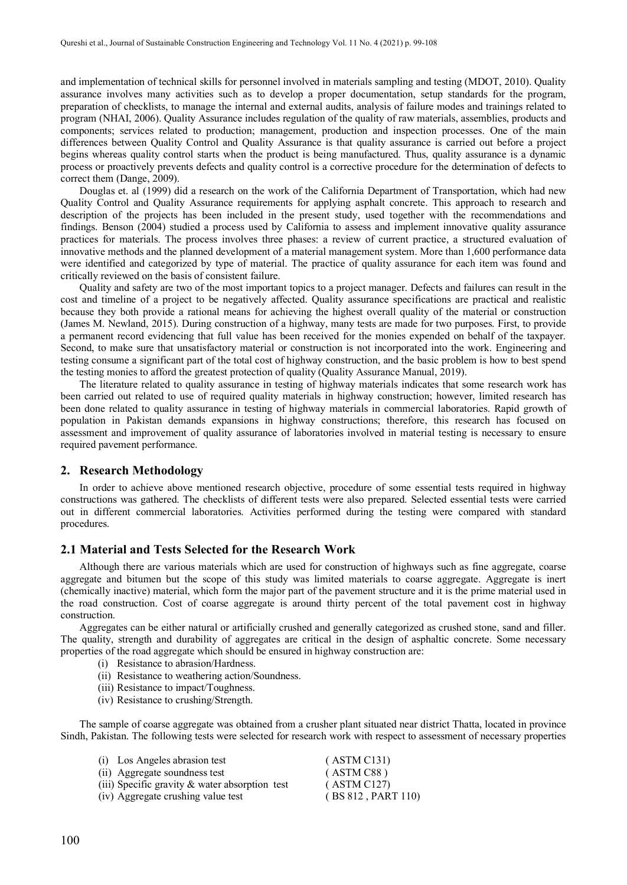and implementation of technical skills for personnel involved in materials sampling and testing (MDOT, 2010). Quality assurance involves many activities such as to develop a proper documentation, setup standards for the program, preparation of checklists, to manage the internal and external audits, analysis of failure modes and trainings related to program (NHAI, 2006). Quality Assurance includes regulation of the quality of raw materials, assemblies, products and components; services related to production; management, production and inspection processes. One of the main differences between Quality Control and Quality Assurance is that quality assurance is carried out before a project begins whereas quality control starts when the product is being manufactured. Thus, quality assurance is a dynamic process or proactively prevents defects and quality control is a corrective procedure for the determination of defects to correct them (Dange, 2009).

Douglas et. al (1999) did a research on the work of the California Department of Transportation, which had new Quality Control and Quality Assurance requirements for applying asphalt concrete. This approach to research and description of the projects has been included in the present study, used together with the recommendations and findings. Benson (2004) studied a process used by California to assess and implement innovative quality assurance practices for materials. The process involves three phases: a review of current practice, a structured evaluation of innovative methods and the planned development of a material management system. More than 1,600 performance data were identified and categorized by type of material. The practice of quality assurance for each item was found and critically reviewed on the basis of consistent failure.

Quality and safety are two of the most important topics to a project manager. Defects and failures can result in the cost and timeline of a project to be negatively affected. Quality assurance specifications are practical and realistic because they both provide a rational means for achieving the highest overall quality of the material or construction (James M. Newland, 2015). During construction of a highway, many tests are made for two purposes. First, to provide a permanent record evidencing that full value has been received for the monies expended on behalf of the taxpayer. Second, to make sure that unsatisfactory material or construction is not incorporated into the work. Engineering and testing consume a significant part of the total cost of highway construction, and the basic problem is how to best spend the testing monies to afford the greatest protection of quality (Quality Assurance Manual, 2019).

The literature related to quality assurance in testing of highway materials indicates that some research work has been carried out related to use of required quality materials in highway construction; however, limited research has been done related to quality assurance in testing of highway materials in commercial laboratories. Rapid growth of population in Pakistan demands expansions in highway constructions; therefore, this research has focused on assessment and improvement of quality assurance of laboratories involved in material testing is necessary to ensure required pavement performance.

#### **2. Research Methodology**

In order to achieve above mentioned research objective, procedure of some essential tests required in highway constructions was gathered. The checklists of different tests were also prepared. Selected essential tests were carried out in different commercial laboratories. Activities performed during the testing were compared with standard procedures.

### **2.1 Material and Tests Selected for the Research Work**

Although there are various materials which are used for construction of highways such as fine aggregate, coarse aggregate and bitumen but the scope of this study was limited materials to coarse aggregate. Aggregate is inert (chemically inactive) material, which form the major part of the pavement structure and it is the prime material used in the road construction. Cost of coarse aggregate is around thirty percent of the total pavement cost in highway construction.

Aggregates can be either natural or artificially crushed and generally categorized as crushed stone, sand and filler. The quality, strength and durability of aggregates are critical in the design of asphaltic concrete. Some necessary properties of the road aggregate which should be ensured in highway construction are:

- (i) Resistance to abrasion/Hardness.
- (ii) Resistance to weathering action/Soundness.
- (iii) Resistance to impact/Toughness.
- (iv) Resistance to crushing/Strength.

The sample of coarse aggregate was obtained from a crusher plant situated near district Thatta, located in province Sindh, Pakistan. The following tests were selected for research work with respect to assessment of necessary properties

| (i) Los Angeles abrasion test                     | (ASTM C131)        |
|---------------------------------------------------|--------------------|
| (ii) Aggregate soundness test                     | (ASTM C88)         |
| (iii) Specific gravity $\&$ water absorption test | (ASTM C127)        |
| (iv) Aggregate crushing value test                | (BS 812, PART 110) |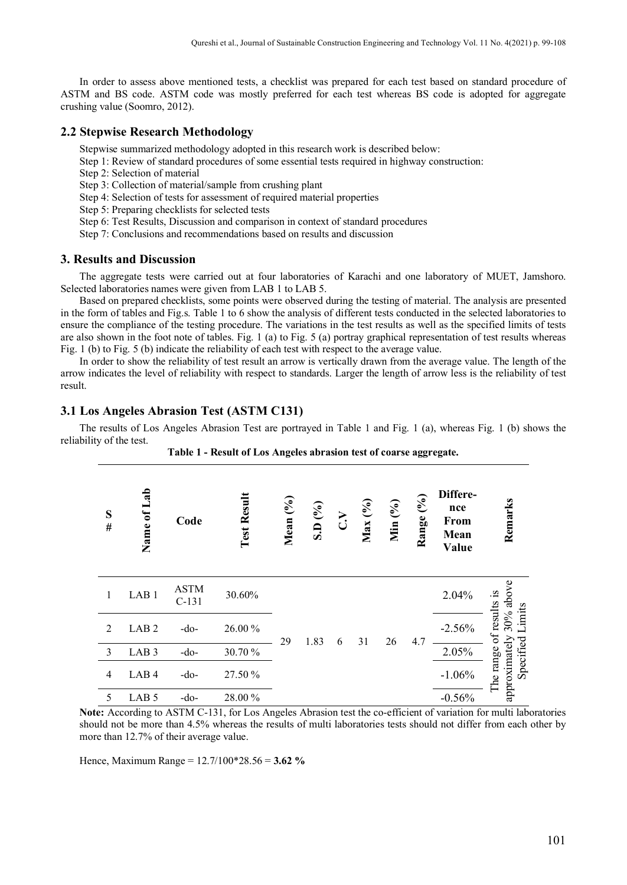In order to assess above mentioned tests, a checklist was prepared for each test based on standard procedure of ASTM and BS code. ASTM code was mostly preferred for each test whereas BS code is adopted for aggregate crushing value (Soomro, 2012).

#### **2.2 Stepwise Research Methodology**

Stepwise summarized methodology adopted in this research work is described below:

- Step 1: Review of standard procedures of some essential tests required in highway construction:
- Step 2: Selection of material

Step 3: Collection of material/sample from crushing plant

Step 4: Selection of tests for assessment of required material properties

Step 5: Preparing checklists for selected tests

Step 6: Test Results, Discussion and comparison in context of standard procedures

Step 7: Conclusions and recommendations based on results and discussion

#### **3. Results and Discussion**

The aggregate tests were carried out at four laboratories of Karachi and one laboratory of MUET, Jamshoro. Selected laboratories names were given from LAB 1 to LAB 5.

Based on prepared checklists, some points were observed during the testing of material. The analysis are presented in the form of tables and Fig.s. Table 1 to 6 show the analysis of different tests conducted in the selected laboratories to ensure the compliance of the testing procedure. The variations in the test results as well as the specified limits of tests are also shown in the foot note of tables. Fig. 1 (a) to Fig.  $5$  (a) portray graphical representation of test results whereas Fig. 1 (b) to Fig. 5 (b) indicate the reliability of each test with respect to the average value.

In order to show the reliability of test result an arrow is vertically drawn from the average value. The length of the arrow indicates the level of reliability with respect to standards. Larger the length of arrow less is the reliability of test result.

# **3.1 Los Angeles Abrasion Test (ASTM C131)**

The results of Los Angeles Abrasion Test are portrayed in Table 1 and Fig. 1 (a), whereas Fig. 1 (b) shows the reliability of the test.

|                | <sub></sub>      |                        |                    |             |                   |        |         |         |           |                                          |                                   |
|----------------|------------------|------------------------|--------------------|-------------|-------------------|--------|---------|---------|-----------|------------------------------------------|-----------------------------------|
| S<br>#         | Name of Lab      | Code                   | <b>Test Result</b> | Mean $(°0)$ | S.D $(^{9}/_{0})$ | $\sum$ | Max (%) | Min (%) | Range (%) | Differe-<br>nce<br>From<br>Mean<br>Value | Remarks                           |
| 1              | LAB <sub>1</sub> | <b>ASTM</b><br>$C-131$ | 30.60%             |             |                   |        |         |         |           | 2.04%                                    | $30%$ above                       |
| 2              | LAB <sub>2</sub> | $-do-$                 | 26.00%             |             |                   |        |         |         |           | $-2.56%$                                 | of results is<br>Specified Limits |
| $\mathfrak{Z}$ | LAB <sub>3</sub> | $-do-$                 | 30.70%             | 29          | 1.83              | 6      | 31      | 26      | 4.7       | 2.05%                                    |                                   |
| $\overline{4}$ | LAB <sub>4</sub> | $-do-$                 | 27.50 %            |             |                   |        |         |         |           | $-1.06%$                                 | approximately<br>The range        |
| 5              | LAB <sub>5</sub> | -do-                   | 28.00%             |             |                   |        |         |         |           | $-0.56%$                                 |                                   |

**Table 1 - Result of Los Angeles abrasion test of coarse aggregate.**

**Note:** According to ASTM C-131, for Los Angeles Abrasion test the co-efficient of variation for multi laboratories should not be more than 4.5% whereas the results of multi laboratories tests should not differ from each other by more than 12.7% of their average value.

Hence, Maximum Range = 12.7/100\*28.56 = **3.62 %**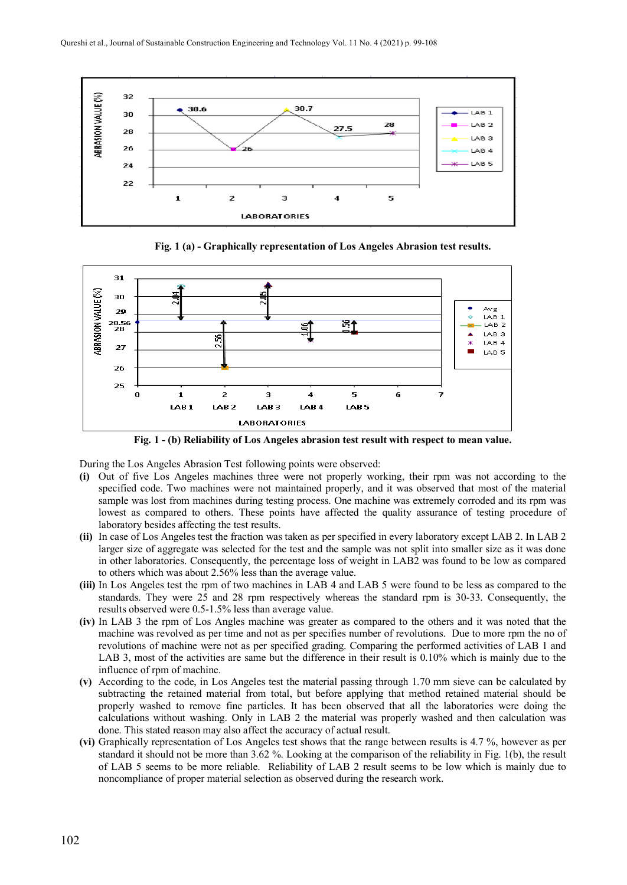

**Fig. 1 (a) - Graphically representation of Los Angeles Abrasion test results.**



**Fig. 1 - (b) Reliability of Los Angeles abrasion test result with respect to mean value.**

During the Los Angeles Abrasion Test following points were observed:

- **(i)** Out of five Los Angeles machines three were not properly working, their rpm was not according to the specified code. Two machines were not maintained properly, and it was observed that most of the material sample was lost from machines during testing process. One machine was extremely corroded and its rpm was lowest as compared to others. These points have affected the quality assurance of testing procedure of laboratory besides affecting the test results.
- **(ii)** In case of Los Angeles test the fraction was taken as per specified in every laboratory except LAB 2. In LAB 2 larger size of aggregate was selected for the test and the sample was not split into smaller size as it was done in other laboratories. Consequently, the percentage loss of weight in LAB2 was found to be low as compared to others which was about 2.56% less than the average value.
- **(iii)** In Los Angeles test the rpm of two machines in LAB 4 and LAB 5 were found to be less as compared to the standards. They were 25 and 28 rpm respectively whereas the standard rpm is 30-33. Consequently, the results observed were 0.5-1.5% less than average value.
- **(iv)** In LAB 3 the rpm of Los Angles machine was greater as compared to the others and it was noted that the machine was revolved as per time and not as per specifies number of revolutions. Due to more rpm the no of revolutions of machine were not as per specified grading. Comparing the performed activities of LAB 1 and LAB 3, most of the activities are same but the difference in their result is 0.10% which is mainly due to the influence of rpm of machine.
- **(v)** According to the code, in Los Angeles test the material passing through 1.70 mm sieve can be calculated by subtracting the retained material from total, but before applying that method retained material should be properly washed to remove fine particles. It has been observed that all the laboratories were doing the calculations without washing. Only in LAB 2 the material was properly washed and then calculation was done. This stated reason may also affect the accuracy of actual result.
- **(vi)** Graphically representation of Los Angeles test shows that the range between results is 4.7 %, however as per standard it should not be more than 3.62 %. Looking at the comparison of the reliability in Fig. 1(b), the result of LAB 5 seems to be more reliable. Reliability of LAB 2 result seems to be low which is mainly due to noncompliance of proper material selection as observed during the research work.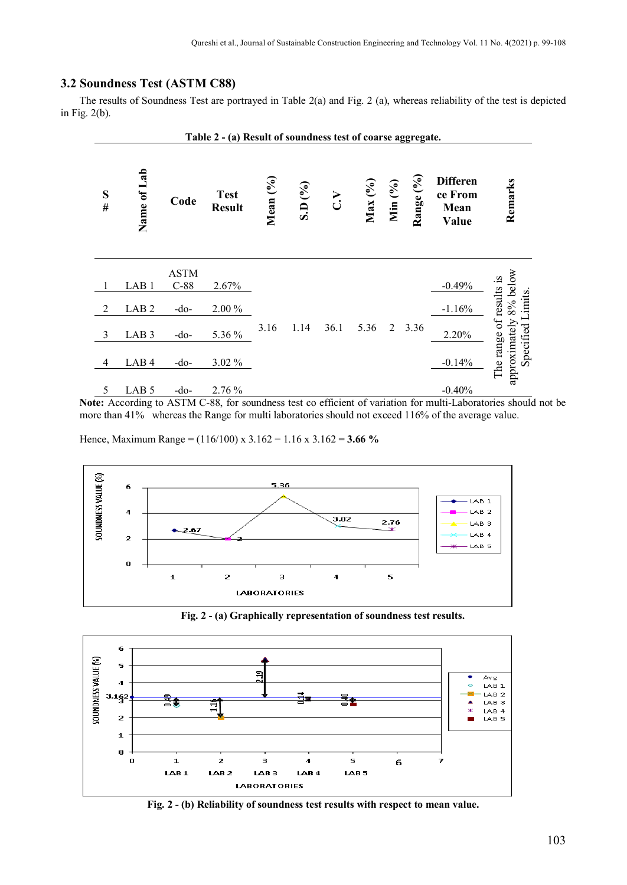# **3.2 Soundness Test (ASTM C88)**

The results of Soundness Test are portrayed in Table 2(a) and Fig. 2 (a), whereas reliability of the test is depicted in Fig. 2(b).



**Note:** According to ASTM C-88, for soundness test co efficient of variation for multi-Laboratories should not be more than 41% whereas the Range for multi laboratories should not exceed 116% of the average value.

Hence, Maximum Range **=** (116/100) x 3.162 = 1.16 x 3.162 **= 3.66 %**



**Fig. 2 - (a) Graphically representation of soundness test results.**



**Fig. 2 - (b) Reliability of soundness test results with respect to mean value.**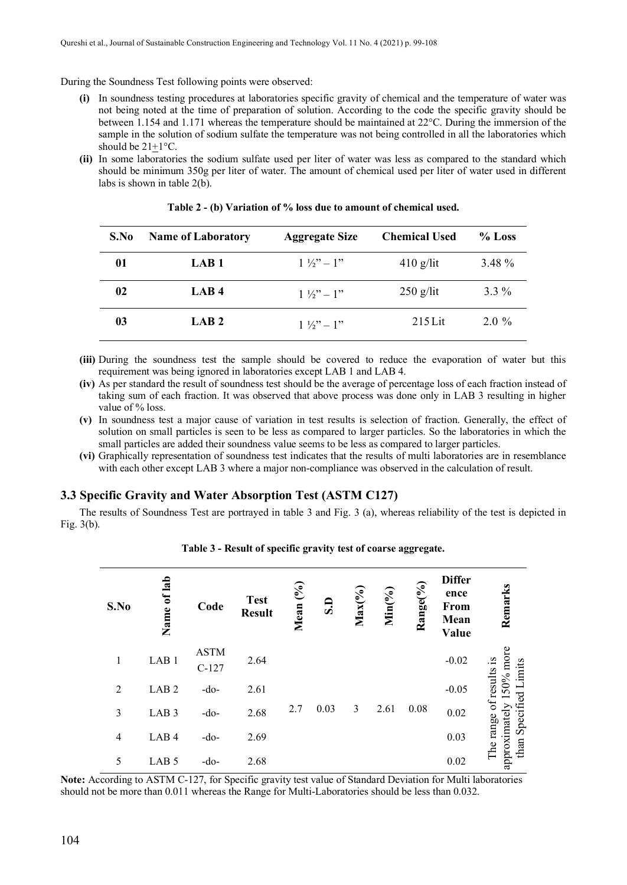During the Soundness Test following points were observed:

- **(i)** In soundness testing procedures at laboratories specific gravity of chemical and the temperature of water was not being noted at the time of preparation of solution. According to the code the specific gravity should be between 1.154 and 1.171 whereas the temperature should be maintained at 22°C. During the immersion of the sample in the solution of sodium sulfate the temperature was not being controlled in all the laboratories which should be 21+1°C.
- **(ii)** In some laboratories the sodium sulfate used per liter of water was less as compared to the standard which should be minimum 350g per liter of water. The amount of chemical used per liter of water used in different labs is shown in table 2(b).

| S.No | <b>Name of Laboratory</b> | <b>Aggregate Size</b>                                    | <b>Chemical Used</b> | $%$ Loss |
|------|---------------------------|----------------------------------------------------------|----------------------|----------|
| 01   | LAB <sub>1</sub>          | $1\frac{1}{2}$ – 1"                                      | $410$ g/lit          | 3.48 %   |
| 02   | LAB <sub>4</sub>          | $1\frac{1}{2}$ $\frac{1}{2}$ $\frac{1}{2}$ $\frac{1}{2}$ | $250$ g/lit          | $3.3\%$  |
| 03   | LAB <sub>2</sub>          | $1\frac{1}{2}$ $\frac{1}{2}$ $\frac{1}{2}$ $\frac{1}{2}$ | $215$ Lit            | $2.0\%$  |

| Table 2 - (b) Variation of % loss due to amount of chemical used. |  |  |  |  |  |  |  |
|-------------------------------------------------------------------|--|--|--|--|--|--|--|
|-------------------------------------------------------------------|--|--|--|--|--|--|--|

- **(iii)** During the soundness test the sample should be covered to reduce the evaporation of water but this requirement was being ignored in laboratories except LAB 1 and LAB 4.
- **(iv)** As per standard the result of soundness test should be the average of percentage loss of each fraction instead of taking sum of each fraction. It was observed that above process was done only in LAB 3 resulting in higher value of % loss.
- **(v)** In soundness test a major cause of variation in test results is selection of fraction. Generally, the effect of solution on small particles is seen to be less as compared to larger particles. So the laboratories in which the small particles are added their soundness value seems to be less as compared to larger particles.
- **(vi)** Graphically representation of soundness test indicates that the results of multi laboratories are in resemblance with each other except LAB 3 where a major non-compliance was observed in the calculation of result.

# **3.3 Specific Gravity and Water Absorption Test (ASTM C127)**

The results of Soundness Test are portrayed in table 3 and Fig. 3 (a), whereas reliability of the test is depicted in Fig. 3(b).

| S.No           | of lab<br>Name   | Code                   | <b>Test</b><br><b>Result</b> | Mean (%) | ø    | $Max(^{0}/_{0})$ | $Min(\%)$ | Range(%) | <b>Differ</b><br>ence<br>From<br>Mean<br>Value | Remarks                                                    |
|----------------|------------------|------------------------|------------------------------|----------|------|------------------|-----------|----------|------------------------------------------------|------------------------------------------------------------|
| $\mathbf{1}$   | LAB <sub>1</sub> | <b>ASTM</b><br>$C-127$ | 2.64                         |          |      |                  |           |          | $-0.02$                                        | $0%$ more<br>Limits                                        |
| $\overline{2}$ | LAB <sub>2</sub> | $-do-$                 | 2.61                         |          |      |                  |           |          | $-0.05$                                        |                                                            |
| 3              | LAB <sub>3</sub> | $-do-$                 | 2.68                         | 2.7      | 0.03 | 3                | 2.61      | 0.08     | 0.02                                           |                                                            |
| $\overline{4}$ | LAB <sub>4</sub> | $-do-$                 | 2.69                         |          |      |                  |           |          | 0.03                                           | The range of results is<br>than Specified<br>approximately |
| 5              | LAB <sub>5</sub> | $-do-$                 | 2.68                         |          |      |                  |           |          | 0.02                                           |                                                            |

#### **Table 3 - Result of specific gravity test of coarse aggregate.**

**Note:** According to ASTM C-127, for Specific gravity test value of Standard Deviation for Multi laboratories should not be more than 0.011 whereas the Range for Multi-Laboratories should be less than 0.032.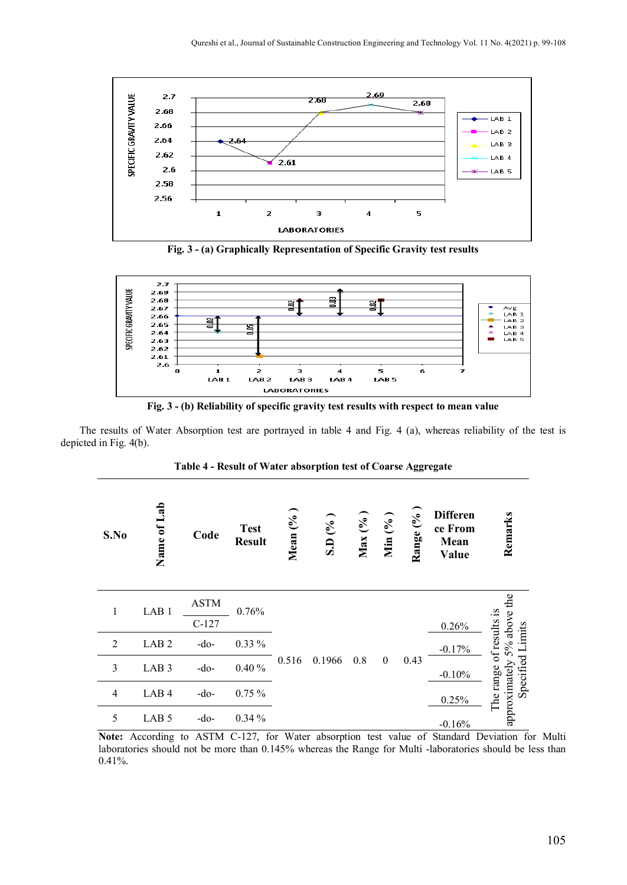

**Fig. 3 - (a) Graphically Representation of Specific Gravity test results**



**Fig. 3 - (b) Reliability of specific gravity test results with respect to mean value**

The results of Water Absorption test are portrayed in table 4 and Fig. 4 (a), whereas reliability of the test is depicted in Fig. 4(b).

**Table 4 - Result of Water absorption test of Coarse Aggregate**

| S.No           | La <sub>b</sub><br>Name of | Code        | <b>Test</b><br><b>Result</b> | Mean $(%$ | S.D(%) | Max (% | Min $(%$         | Range (%) | <b>Differen</b><br>ce From<br>Mean<br>Value | Remarks                       |
|----------------|----------------------------|-------------|------------------------------|-----------|--------|--------|------------------|-----------|---------------------------------------------|-------------------------------|
| 1              | LAB <sub>1</sub>           | <b>ASTM</b> | 0.76%                        |           |        |        |                  |           |                                             |                               |
|                |                            | $C-127$     |                              |           |        |        |                  |           | 0.26%                                       |                               |
| $\overline{2}$ | LAB <sub>2</sub>           | $-do-$      | $0.33\%$                     |           |        |        |                  |           | $-0.17%$                                    | 5% above the<br>of results is |
| 3              | LAB <sub>3</sub>           | $-do-$      | 0.40%                        | 0.516     | 0.1966 | 0.8    | $\boldsymbol{0}$ | 0.43      | $-0.10%$                                    | Specified Limits              |
| $\overline{4}$ | LAB <sub>4</sub>           | $-do-$      | 0.75%                        |           |        |        |                  |           | 0.25%                                       | approximately<br>The range    |
| 5              | LAB <sub>5</sub>           | -do-        | 0.34%                        |           |        |        |                  |           | $-0.16%$                                    |                               |

**Note:** According to ASTM C-127, for Water absorption test value of Standard Deviation for Multi laboratories should not be more than 0.145% whereas the Range for Multi -laboratories should be less than 0.41%.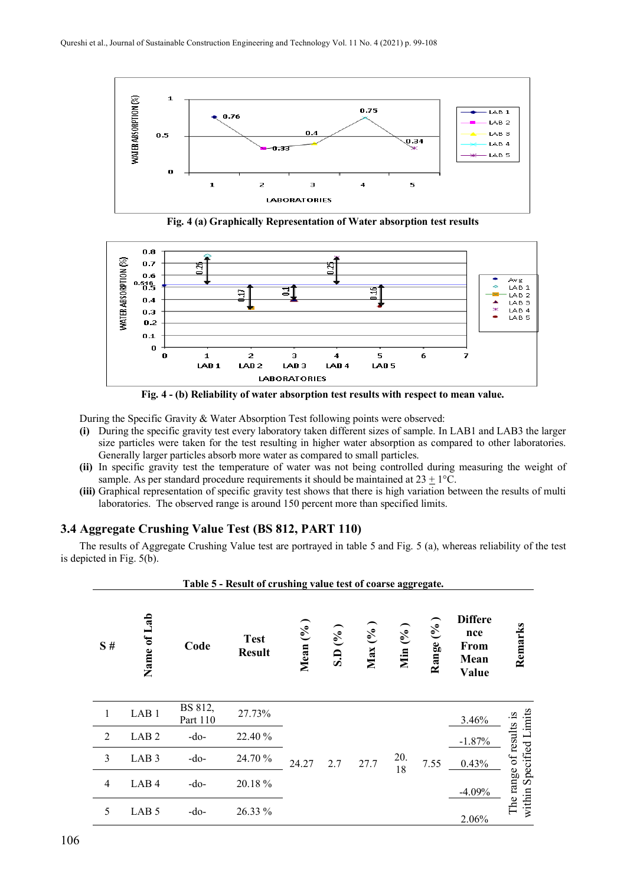

**Fig. 4 (a) Graphically Representation of Water absorption test results**





During the Specific Gravity & Water Absorption Test following points were observed:

- **(i)** During the specific gravity test every laboratory taken different sizes of sample. In LAB1 and LAB3 the larger size particles were taken for the test resulting in higher water absorption as compared to other laboratories. Generally larger particles absorb more water as compared to small particles.
- **(ii)** In specific gravity test the temperature of water was not being controlled during measuring the weight of sample. As per standard procedure requirements it should be maintained at  $23 + 1$ °C.
- **(iii)** Graphical representation of specific gravity test shows that there is high variation between the results of multi laboratories. The observed range is around 150 percent more than specified limits.

# **3.4 Aggregate Crushing Value Test (BS 812, PART 110)**

The results of Aggregate Crushing Value test are portrayed in table 5 and Fig. 5 (a), whereas reliability of the test is depicted in Fig. 5(b).

|                | Table 5 - Result of crushing value test of coarse aggregate. |                     |                              |           |       |        |            |           |                                                |                                                    |
|----------------|--------------------------------------------------------------|---------------------|------------------------------|-----------|-------|--------|------------|-----------|------------------------------------------------|----------------------------------------------------|
| S#             | Name of Lab                                                  | Code                | <b>Test</b><br><b>Result</b> | Mean $(%$ | SD(%) | Max(%) | Min $(96)$ | Range (%) | <b>Differe</b><br>nce<br>From<br>Mean<br>Value | Remarks                                            |
| 1              | LAB <sub>1</sub>                                             | BS 812,<br>Part 110 | 27.73%                       |           |       |        |            |           | 3.46%                                          |                                                    |
| 2              | LAB <sub>2</sub>                                             | $-do-$              | 22.40 %                      |           |       |        |            |           | $-1.87%$                                       |                                                    |
| 3              | LAB <sub>3</sub>                                             | -do-                | 24.70 %                      | 24.27     | 2.7   | 27.7   | 20.<br>18  | 7.55      | 0.43%                                          |                                                    |
| $\overline{4}$ | LAB <sub>4</sub>                                             | $-do-$              | 20.18%                       |           |       |        |            |           | $-4.09%$                                       | within Specified Limits<br>The range of results is |
| 5              | LAB <sub>5</sub>                                             | $-do-$              | 26.33 %                      |           |       |        |            |           | 2.06%                                          |                                                    |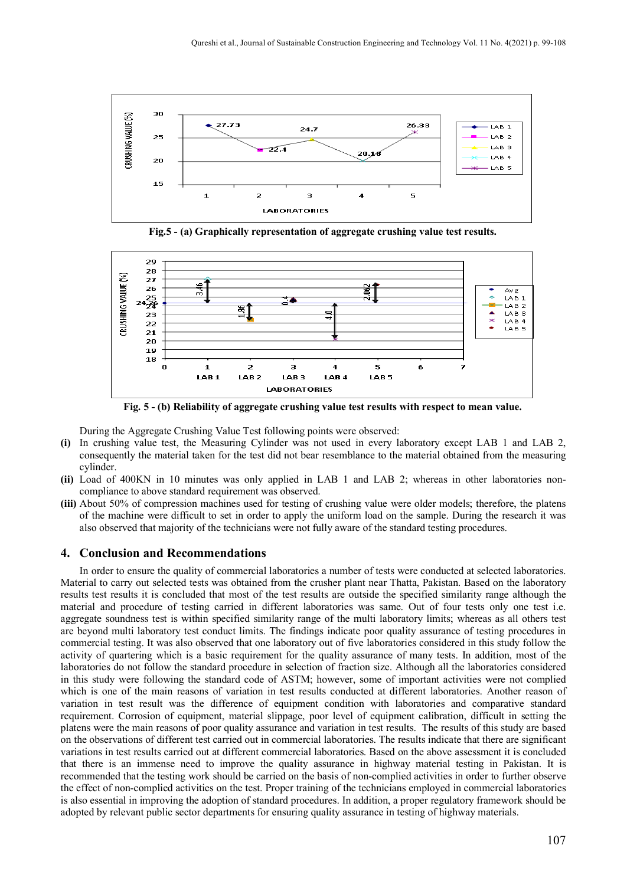

**Fig.5 - (a) Graphically representation of aggregate crushing value test results.**



**Fig. 5 - (b) Reliability of aggregate crushing value test results with respect to mean value.**

During the Aggregate Crushing Value Test following points were observed:

- **(i)** In crushing value test, the Measuring Cylinder was not used in every laboratory except LAB 1 and LAB 2, consequently the material taken for the test did not bear resemblance to the material obtained from the measuring cylinder.
- **(ii)** Load of 400KN in 10 minutes was only applied in LAB 1 and LAB 2; whereas in other laboratories noncompliance to above standard requirement was observed.
- **(iii)** About 50% of compression machines used for testing of crushing value were older models; therefore, the platens of the machine were difficult to set in order to apply the uniform load on the sample. During the research it was also observed that majority of the technicians were not fully aware of the standard testing procedures.

# **4. Conclusion and Recommendations**

In order to ensure the quality of commercial laboratories a number of tests were conducted at selected laboratories. Material to carry out selected tests was obtained from the crusher plant near Thatta, Pakistan. Based on the laboratory results test results it is concluded that most of the test results are outside the specified similarity range although the material and procedure of testing carried in different laboratories was same. Out of four tests only one test i.e. aggregate soundness test is within specified similarity range of the multi laboratory limits; whereas as all others test are beyond multi laboratory test conduct limits. The findings indicate poor quality assurance of testing procedures in commercial testing. It was also observed that one laboratory out of five laboratories considered in this study follow the activity of quartering which is a basic requirement for the quality assurance of many tests. In addition, most of the laboratories do not follow the standard procedure in selection of fraction size. Although all the laboratories considered in this study were following the standard code of ASTM; however, some of important activities were not complied which is one of the main reasons of variation in test results conducted at different laboratories. Another reason of variation in test result was the difference of equipment condition with laboratories and comparative standard requirement. Corrosion of equipment, material slippage, poor level of equipment calibration, difficult in setting the platens were the main reasons of poor quality assurance and variation in test results. The results of this study are based on the observations of different test carried out in commercial laboratories. The results indicate that there are significant variations in test results carried out at different commercial laboratories. Based on the above assessment it is concluded that there is an immense need to improve the quality assurance in highway material testing in Pakistan. It is recommended that the testing work should be carried on the basis of non-complied activities in order to further observe the effect of non-complied activities on the test. Proper training of the technicians employed in commercial laboratories is also essential in improving the adoption of standard procedures. In addition, a proper regulatory framework should be adopted by relevant public sector departments for ensuring quality assurance in testing of highway materials.